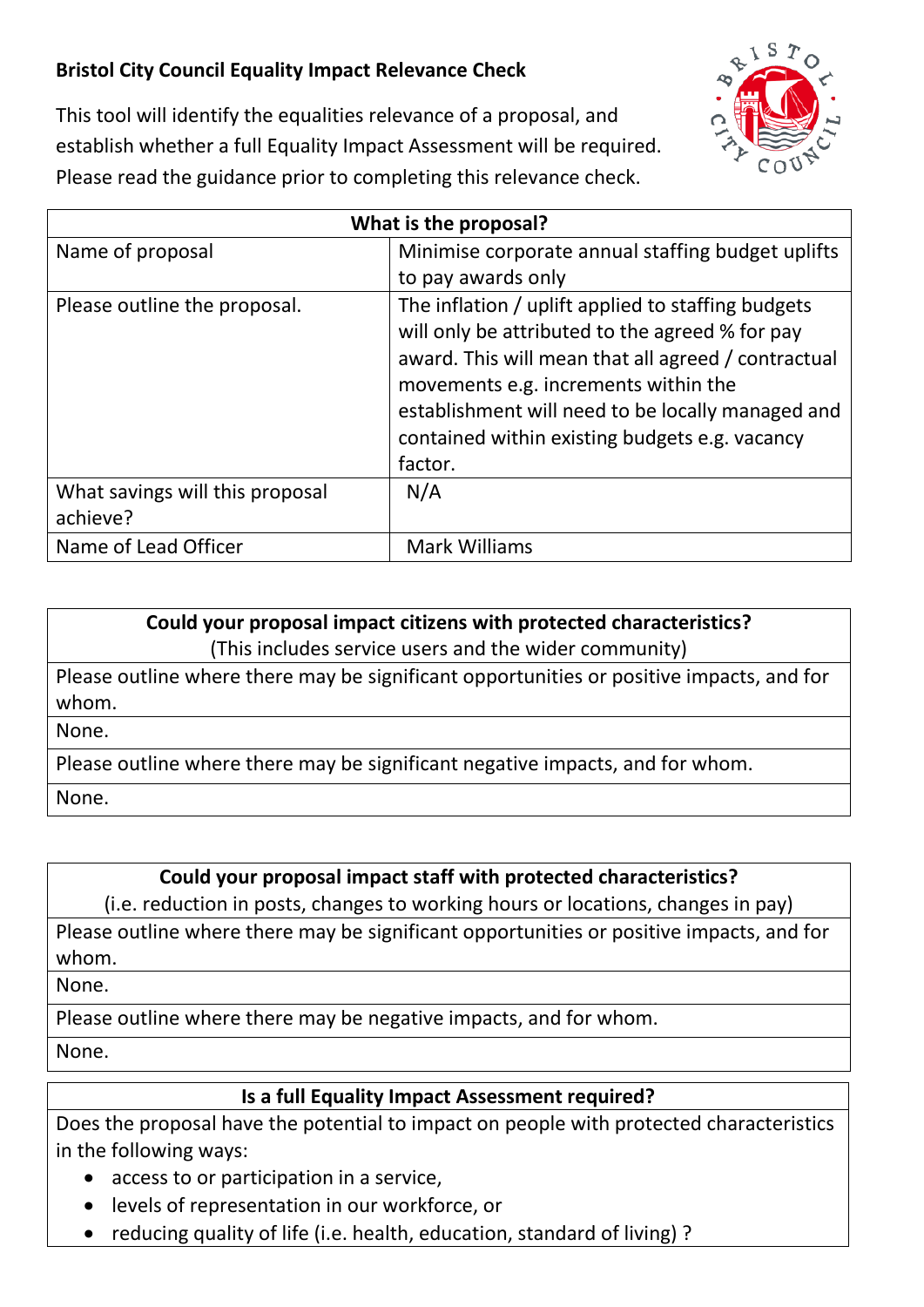## **Bristol City Council Equality Impact Relevance Check**



This tool will identify the equalities relevance of a proposal, and establish whether a full Equality Impact Assessment will be required. Please read the guidance prior to completing this relevance check.

| What is the proposal?                       |                                                                                                                                                                                                                                                                                                                        |
|---------------------------------------------|------------------------------------------------------------------------------------------------------------------------------------------------------------------------------------------------------------------------------------------------------------------------------------------------------------------------|
| Name of proposal                            | Minimise corporate annual staffing budget uplifts                                                                                                                                                                                                                                                                      |
|                                             | to pay awards only                                                                                                                                                                                                                                                                                                     |
| Please outline the proposal.                | The inflation / uplift applied to staffing budgets<br>will only be attributed to the agreed % for pay<br>award. This will mean that all agreed / contractual<br>movements e.g. increments within the<br>establishment will need to be locally managed and<br>contained within existing budgets e.g. vacancy<br>factor. |
| What savings will this proposal<br>achieve? | N/A                                                                                                                                                                                                                                                                                                                    |
| Name of Lead Officer                        | Mark Williams                                                                                                                                                                                                                                                                                                          |

## **Could your proposal impact citizens with protected characteristics?**

(This includes service users and the wider community)

Please outline where there may be significant opportunities or positive impacts, and for whom.

None.

Please outline where there may be significant negative impacts, and for whom.

None.

## **Could your proposal impact staff with protected characteristics?**

(i.e. reduction in posts, changes to working hours or locations, changes in pay)

Please outline where there may be significant opportunities or positive impacts, and for whom.

None.

Please outline where there may be negative impacts, and for whom.

None.

## **Is a full Equality Impact Assessment required?**

Does the proposal have the potential to impact on people with protected characteristics in the following ways:

- access to or participation in a service,
- levels of representation in our workforce, or
- reducing quality of life (i.e. health, education, standard of living) ?